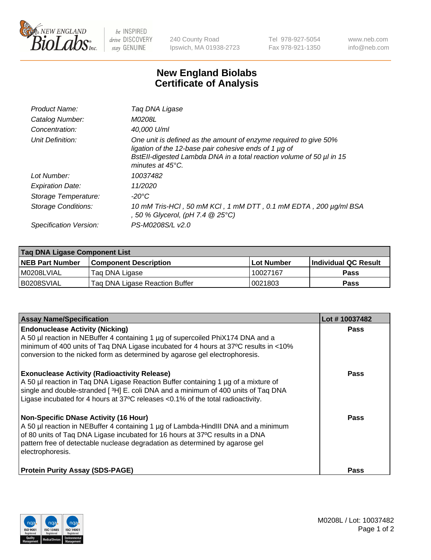

 $be$  INSPIRED drive DISCOVERY stay GENUINE

240 County Road Ipswich, MA 01938-2723 Tel 978-927-5054 Fax 978-921-1350 www.neb.com info@neb.com

## **New England Biolabs Certificate of Analysis**

| Product Name:              | Taq DNA Ligase                                                                                                                                                                                                                  |
|----------------------------|---------------------------------------------------------------------------------------------------------------------------------------------------------------------------------------------------------------------------------|
| Catalog Number:            | M0208L                                                                                                                                                                                                                          |
| Concentration:             | 40,000 U/ml                                                                                                                                                                                                                     |
| Unit Definition:           | One unit is defined as the amount of enzyme required to give 50%<br>ligation of the 12-base pair cohesive ends of 1 µg of<br>BstEll-digested Lambda DNA in a total reaction volume of 50 µl in 15<br>minutes at $45^{\circ}$ C. |
| Lot Number:                | 10037482                                                                                                                                                                                                                        |
| <b>Expiration Date:</b>    | 11/2020                                                                                                                                                                                                                         |
| Storage Temperature:       | $-20^{\circ}$ C                                                                                                                                                                                                                 |
| <b>Storage Conditions:</b> | 10 mM Tris-HCl, 50 mM KCl, 1 mM DTT, 0.1 mM EDTA, 200 µg/ml BSA<br>, 50 % Glycerol, (pH 7.4 @ 25°C)                                                                                                                             |
| Specification Version:     | PS-M0208S/L v2.0                                                                                                                                                                                                                |

| Taq DNA Ligase Component List |                                |            |                      |  |
|-------------------------------|--------------------------------|------------|----------------------|--|
| <b>NEB Part Number</b>        | <b>Component Description</b>   | Lot Number | Individual QC Result |  |
| M0208LVIAL                    | Tag DNA Ligase                 | 10027167   | <b>Pass</b>          |  |
| B0208SVIAL                    | Taq DNA Ligase Reaction Buffer | 0021803    | Pass                 |  |

| <b>Assay Name/Specification</b>                                                                                                                                                                                                                                                                                         | Lot #10037482 |
|-------------------------------------------------------------------------------------------------------------------------------------------------------------------------------------------------------------------------------------------------------------------------------------------------------------------------|---------------|
| <b>Endonuclease Activity (Nicking)</b><br>A 50 µl reaction in NEBuffer 4 containing 1 µg of supercoiled PhiX174 DNA and a<br>minimum of 400 units of Taq DNA Ligase incubated for 4 hours at 37°C results in <10%<br>conversion to the nicked form as determined by agarose gel electrophoresis.                        | <b>Pass</b>   |
| <b>Exonuclease Activity (Radioactivity Release)</b><br>A 50 µl reaction in Taq DNA Ligase Reaction Buffer containing 1 µg of a mixture of<br>single and double-stranded [3H] E. coli DNA and a minimum of 400 units of Taq DNA<br>Ligase incubated for 4 hours at 37°C releases <0.1% of the total radioactivity.       | <b>Pass</b>   |
| <b>Non-Specific DNase Activity (16 Hour)</b><br>A 50 µl reaction in NEBuffer 4 containing 1 µg of Lambda-HindIII DNA and a minimum<br>of 80 units of Taq DNA Ligase incubated for 16 hours at 37°C results in a DNA<br>pattern free of detectable nuclease degradation as determined by agarose gel<br>electrophoresis. | <b>Pass</b>   |
| <b>Protein Purity Assay (SDS-PAGE)</b>                                                                                                                                                                                                                                                                                  | <b>Pass</b>   |